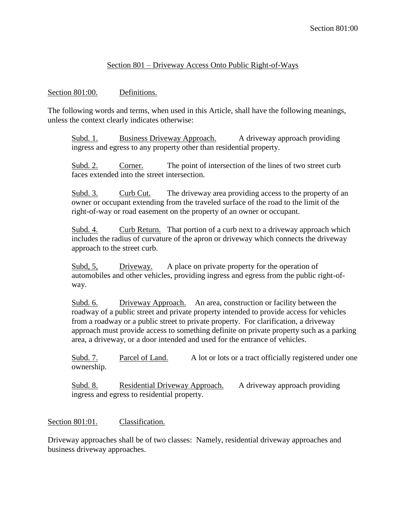## Section 801 – Driveway Access Onto Public Right-of-Ways

### Section 801:00. Definitions.

The following words and terms, when used in this Article, shall have the following meanings, unless the context clearly indicates otherwise:

Subd. 1. Business Driveway Approach. A driveway approach providing ingress and egress to any property other than residential property.

Subd. 2. Corner. The point of intersection of the lines of two street curb faces extended into the street intersection.

Subd. 3. Curb Cut. The driveway area providing access to the property of an owner or occupant extending from the traveled surface of the road to the limit of the right-of-way or road easement on the property of an owner or occupant.

Subd. 4. Curb Return. That portion of a curb next to a driveway approach which includes the radius of curvature of the apron or driveway which connects the driveway approach to the street curb.

Subd, 5, Driveway. A place on private property for the operation of automobiles and other vehicles, providing ingress and egress from the public right-ofway.

Subd. 6. Driveway Approach. An area, construction or facility between the roadway of a public street and private property intended to provide access for vehicles from a roadway or a public street to private property. For clarification, a driveway approach must provide access to something definite on private property such as a parking area, a driveway, or a door intended and used for the entrance of vehicles.

Subd. 7. Parcel of Land. A lot or lots or a tract officially registered under one ownership.

Subd. 8. Residential Driveway Approach. A driveway approach providing ingress and egress to residential property.

# Section 801:01. Classification.

Driveway approaches shall be of two classes: Namely, residential driveway approaches and business driveway approaches.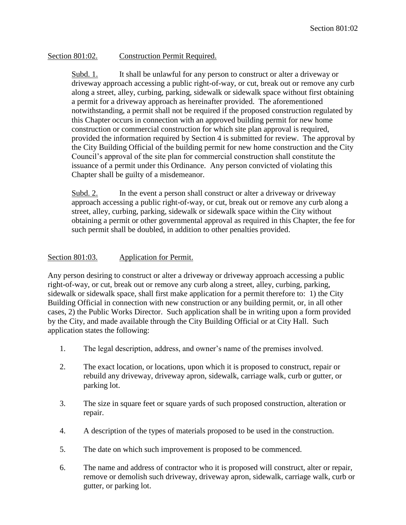## Section 801:02. Construction Permit Required.

Subd. 1. It shall be unlawful for any person to construct or alter a driveway or driveway approach accessing a public right-of-way, or cut, break out or remove any curb along a street, alley, curbing, parking, sidewalk or sidewalk space without first obtaining a permit for a driveway approach as hereinafter provided. The aforementioned notwithstanding, a permit shall not be required if the proposed construction regulated by this Chapter occurs in connection with an approved building permit for new home construction or commercial construction for which site plan approval is required, provided the information required by Section 4 is submitted for review. The approval by the City Building Official of the building permit for new home construction and the City Council's approval of the site plan for commercial construction shall constitute the issuance of a permit under this Ordinance. Any person convicted of violating this Chapter shall be guilty of a misdemeanor.

Subd. 2. In the event a person shall construct or alter a driveway or driveway approach accessing a public right-of-way, or cut, break out or remove any curb along a street, alley, curbing, parking, sidewalk or sidewalk space within the City without obtaining a permit or other governmental approval as required in this Chapter, the fee for such permit shall be doubled, in addition to other penalties provided.

## Section 801:03. Application for Permit.

Any person desiring to construct or alter a driveway or driveway approach accessing a public right-of-way, or cut, break out or remove any curb along a street, alley, curbing, parking, sidewalk or sidewalk space, shall first make application for a permit therefore to: 1) the City Building Official in connection with new construction or any building permit, or, in all other cases, 2) the Public Works Director. Such application shall be in writing upon a form provided by the City, and made available through the City Building Official or at City Hall. Such application states the following:

- 1. The legal description, address, and owner's name of the premises involved.
- 2. The exact location, or locations, upon which it is proposed to construct, repair or rebuild any driveway, driveway apron, sidewalk, carriage walk, curb or gutter, or parking lot.
- 3. The size in square feet or square yards of such proposed construction, alteration or repair.
- 4. A description of the types of materials proposed to be used in the construction.
- 5. The date on which such improvement is proposed to be commenced.
- 6. The name and address of contractor who it is proposed will construct, alter or repair, remove or demolish such driveway, driveway apron, sidewalk, carriage walk, curb or gutter, or parking lot.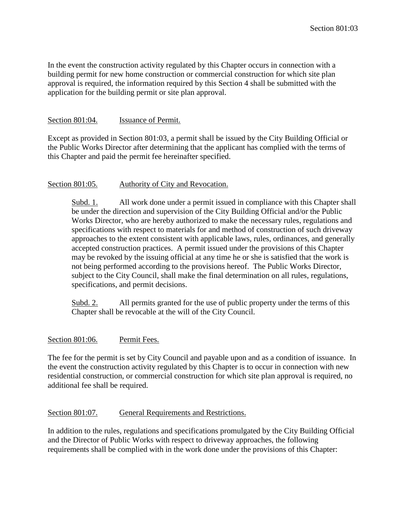In the event the construction activity regulated by this Chapter occurs in connection with a building permit for new home construction or commercial construction for which site plan approval is required, the information required by this Section 4 shall be submitted with the application for the building permit or site plan approval.

#### Section 801:04. Issuance of Permit.

Except as provided in Section 801:03, a permit shall be issued by the City Building Official or the Public Works Director after determining that the applicant has complied with the terms of this Chapter and paid the permit fee hereinafter specified.

#### Section 801:05. Authority of City and Revocation.

Subd. 1. All work done under a permit issued in compliance with this Chapter shall be under the direction and supervision of the City Building Official and/or the Public Works Director, who are hereby authorized to make the necessary rules, regulations and specifications with respect to materials for and method of construction of such driveway approaches to the extent consistent with applicable laws, rules, ordinances, and generally accepted construction practices. A permit issued under the provisions of this Chapter may be revoked by the issuing official at any time he or she is satisfied that the work is not being performed according to the provisions hereof. The Public Works Director, subject to the City Council, shall make the final determination on all rules, regulations, specifications, and permit decisions.

Subd. 2. All permits granted for the use of public property under the terms of this Chapter shall be revocable at the will of the City Council.

#### Section 801:06. Permit Fees.

The fee for the permit is set by City Council and payable upon and as a condition of issuance. In the event the construction activity regulated by this Chapter is to occur in connection with new residential construction, or commercial construction for which site plan approval is required, no additional fee shall be required.

#### Section 801:07. General Requirements and Restrictions.

In addition to the rules, regulations and specifications promulgated by the City Building Official and the Director of Public Works with respect to driveway approaches, the following requirements shall be complied with in the work done under the provisions of this Chapter: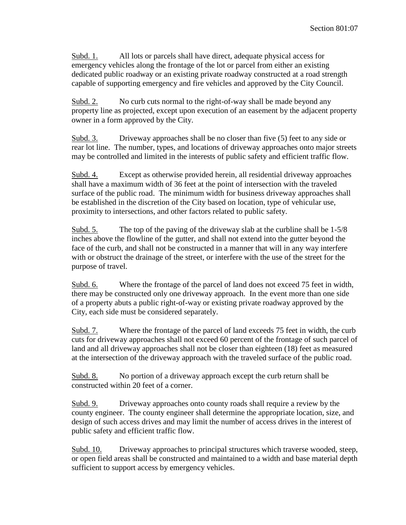Subd. 1. All lots or parcels shall have direct, adequate physical access for emergency vehicles along the frontage of the lot or parcel from either an existing dedicated public roadway or an existing private roadway constructed at a road strength capable of supporting emergency and fire vehicles and approved by the City Council.

Subd. 2. No curb cuts normal to the right-of-way shall be made beyond any property line as projected, except upon execution of an easement by the adjacent property owner in a form approved by the City.

Subd. 3. Driveway approaches shall be no closer than five (5) feet to any side or rear lot line. The number, types, and locations of driveway approaches onto major streets may be controlled and limited in the interests of public safety and efficient traffic flow.

Subd. 4. Except as otherwise provided herein, all residential driveway approaches shall have a maximum width of 36 feet at the point of intersection with the traveled surface of the public road. The minimum width for business driveway approaches shall be established in the discretion of the City based on location, type of vehicular use, proximity to intersections, and other factors related to public safety.

Subd. 5. The top of the paving of the driveway slab at the curbline shall be 1-5/8 inches above the flowline of the gutter, and shall not extend into the gutter beyond the face of the curb, and shall not be constructed in a manner that will in any way interfere with or obstruct the drainage of the street, or interfere with the use of the street for the purpose of travel.

Subd. 6. Where the frontage of the parcel of land does not exceed 75 feet in width, there may be constructed only one driveway approach. In the event more than one side of a property abuts a public right-of-way or existing private roadway approved by the City, each side must be considered separately.

Subd. 7. Where the frontage of the parcel of land exceeds 75 feet in width, the curb cuts for driveway approaches shall not exceed 60 percent of the frontage of such parcel of land and all driveway approaches shall not be closer than eighteen (18) feet as measured at the intersection of the driveway approach with the traveled surface of the public road.

Subd. 8. No portion of a driveway approach except the curb return shall be constructed within 20 feet of a corner.

Subd. 9. Driveway approaches onto county roads shall require a review by the county engineer. The county engineer shall determine the appropriate location, size, and design of such access drives and may limit the number of access drives in the interest of public safety and efficient traffic flow.

Subd. 10. Driveway approaches to principal structures which traverse wooded, steep, or open field areas shall be constructed and maintained to a width and base material depth sufficient to support access by emergency vehicles.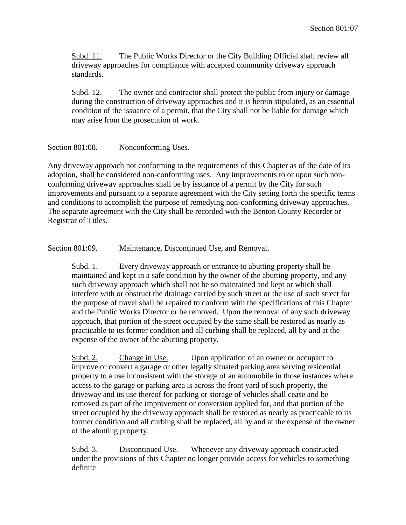Subd. 11. The Public Works Director or the City Building Official shall review all driveway approaches for compliance with accepted community driveway approach standards.

Subd. 12. The owner and contractor shall protect the public from injury or damage during the construction of driveway approaches and it is herein stipulated, as an essential condition of the issuance of a permit, that the City shall not be liable for damage which may arise from the prosecution of work.

#### Section 801:08. Nonconforming Uses.

Any driveway approach not conforming to the requirements of this Chapter as of the date of its adoption, shall be considered non-conforming uses. Any improvements to or upon such nonconforming driveway approaches shall be by issuance of a permit by the City for such improvements and pursuant to a separate agreement with the City setting forth the specific terms and conditions to accomplish the purpose of remedying non-conforming driveway approaches. The separate agreement with the City shall be recorded with the Benton County Recorder or Registrar of Titles.

## Section 801:09. Maintenance, Discontinued Use, and Removal.

Subd. 1. Every driveway approach or entrance to abutting property shall be maintained and kept in a safe condition by the owner of the abutting property, and any such driveway approach which shall not be so maintained and kept or which shall interfere with or obstruct the drainage carried by such street or the use of such street for the purpose of travel shall be repaired to conform with the specifications of this Chapter and the Public Works Director or be removed. Upon the removal of any such driveway approach, that portion of the street occupied by the same shall be restored as nearly as practicable to its former condition and all curbing shall be replaced, all by and at the expense of the owner of the abutting property.

Subd. 2. Change in Use. Upon application of an owner or occupant to improve or convert a garage or other legally situated parking area serving residential property to a use inconsistent with the storage of an automobile in those instances where access to the garage or parking area is across the front yard of such property, the driveway and its use thereof for parking or storage of vehicles shall cease and be removed as part of the improvement or conversion applied for, and that portion of the street occupied by the driveway approach shall be restored as nearly as practicable to its former condition and all curbing shall be replaced, all by and at the expense of the owner of the abutting property.

Subd. 3. Discontinued Use. Whenever any driveway approach constructed under the provisions of this Chapter no longer provide access for vehicles to something definite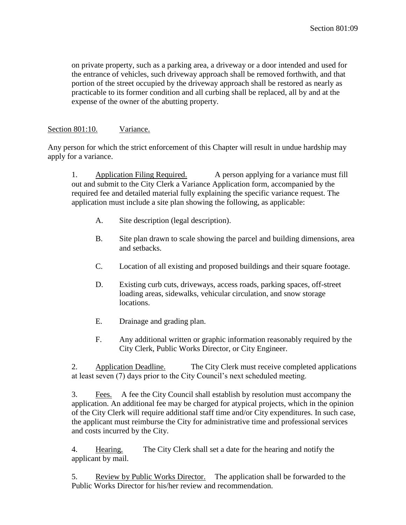on private property, such as a parking area, a driveway or a door intended and used for the entrance of vehicles, such driveway approach shall be removed forthwith, and that portion of the street occupied by the driveway approach shall be restored as nearly as practicable to its former condition and all curbing shall be replaced, all by and at the expense of the owner of the abutting property.

## Section 801:10. Variance.

Any person for which the strict enforcement of this Chapter will result in undue hardship may apply for a variance.

1. Application Filing Required. A person applying for a variance must fill out and submit to the City Clerk a Variance Application form, accompanied by the required fee and detailed material fully explaining the specific variance request. The application must include a site plan showing the following, as applicable:

- A. Site description (legal description).
- B. Site plan drawn to scale showing the parcel and building dimensions, area and setbacks.
- C. Location of all existing and proposed buildings and their square footage.
- D. Existing curb cuts, driveways, access roads, parking spaces, off-street loading areas, sidewalks, vehicular circulation, and snow storage locations.
- E. Drainage and grading plan.
- F. Any additional written or graphic information reasonably required by the City Clerk, Public Works Director, or City Engineer.

2. Application Deadline. The City Clerk must receive completed applications at least seven (7) days prior to the City Council's next scheduled meeting.

3. Fees. A fee the City Council shall establish by resolution must accompany the application. An additional fee may be charged for atypical projects, which in the opinion of the City Clerk will require additional staff time and/or City expenditures. In such case, the applicant must reimburse the City for administrative time and professional services and costs incurred by the City.

4. Hearing. The City Clerk shall set a date for the hearing and notify the applicant by mail.

5. Review by Public Works Director. The application shall be forwarded to the Public Works Director for his/her review and recommendation.